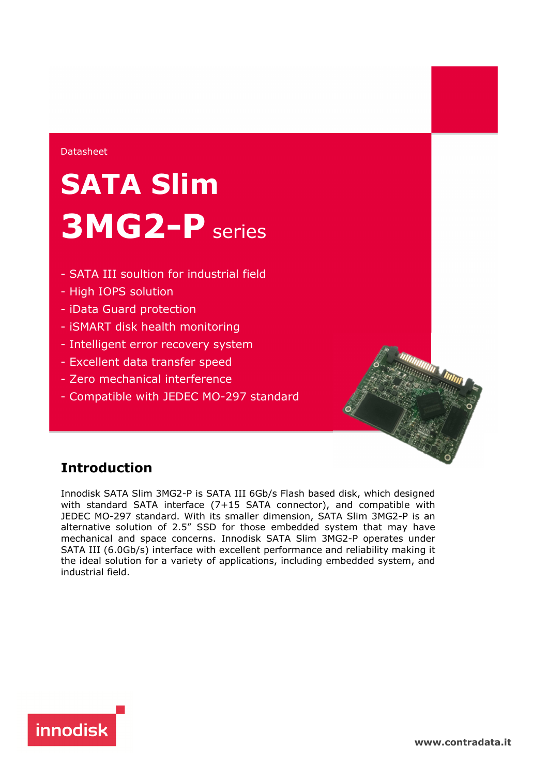## Datasheet

# **SATA Slim 3MG2-P** series

- SATA III soultion for industrial field
- High IOPS solution
- iData Guard protection
- iSMART disk health monitoring
- Intelligent error recovery system
- Excellent data transfer speed
- Zero mechanical interference
- Compatible with JEDEC MO-297 standard

## **Introduction**

Innodisk SATA Slim 3MG2-P is SATA III 6Gb/s Flash based disk, which designed with standard SATA interface (7+15 SATA connector), and compatible with JEDEC MO-297 standard. With its smaller dimension, SATA Slim 3MG2-P is an alternative solution of 2.5" SSD for those embedded system that may have mechanical and space concerns. Innodisk SATA Slim 3MG2-P operates under SATA III (6.0Gb/s) interface with excellent performance and reliability making it the ideal solution for a variety of applications, including embedded system, and industrial field.